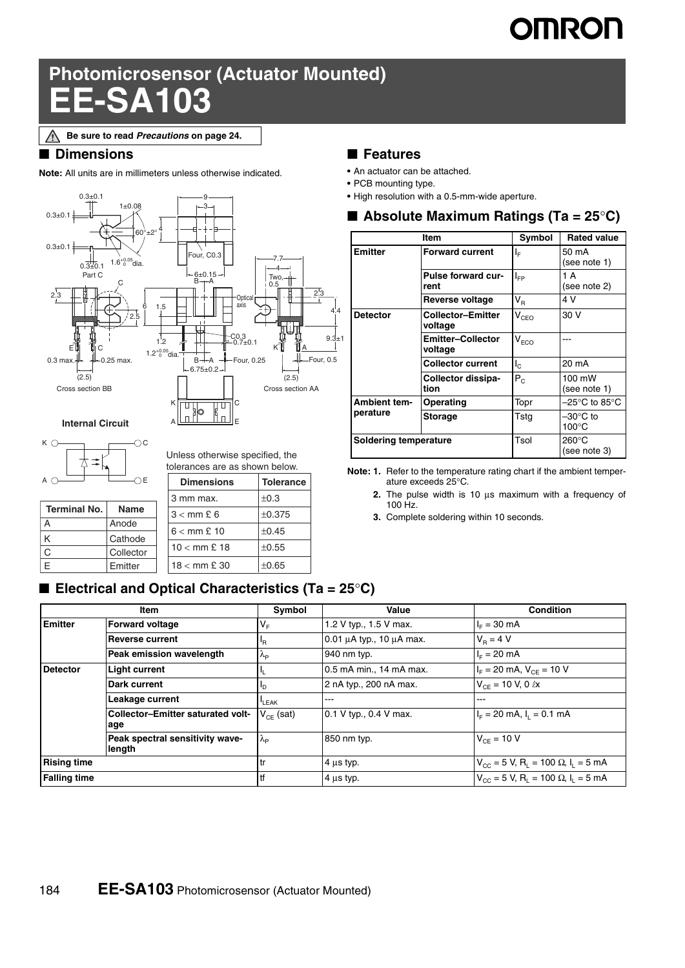# **OMRON**

## **Photomicrosensor (Actuator Mounted) EE-SA103**

#### ■ **Dimensions**

**Note:** All units are in millimeters unless otherwise indicated.





| <b>Terminal No.</b> | Name      |  |  |
|---------------------|-----------|--|--|
|                     | Anode     |  |  |
|                     | Cathode   |  |  |
|                     | Collector |  |  |
| F                   | Emitter   |  |  |

Unless otherwise specified, the tolerances are as shown below.

| <b>Dimensions</b>              | <b>Tolerance</b> |
|--------------------------------|------------------|
| 3 mm max.                      | ±0.3             |
| $3 <$ mm £ 6                   | ±0.375           |
| $6 <$ mm £ 10                  | ±0.45            |
| $10 < \text{mm} \,\text{E}$ 18 | $\pm 0.55$       |
| $18 <$ mm £ 30                 | ±0.65            |

#### ■ **Features**

- **•** An actuator can be attached.
- **•** PCB mounting type.
- **•** High resolution with a 0.5-mm-wide aperture.

| ■ Absolute Maximum Ratings (Ta = 25°C) |  |  |
|----------------------------------------|--|--|
|----------------------------------------|--|--|

| Item                  |                                     | Symbol                      | <b>Rated value</b>                    |
|-----------------------|-------------------------------------|-----------------------------|---------------------------------------|
| <b>Emitter</b>        | <b>Forward current</b>              | ΙF                          | 50 mA<br>(see note 1)                 |
|                       | Pulse forward cur-<br>rent          | $I_{FP}$                    | 1 A<br>(see note 2)                   |
|                       | Reverse voltage                     | $V_R$                       | 4 V                                   |
| <b>Detector</b>       | <b>Collector-Emitter</b><br>voltage | $\mathsf{V}_{\mathsf{CEO}}$ | 30 V                                  |
|                       | <b>Emitter-Collector</b><br>voltage | $\mathsf{V}_{\mathsf{ECO}}$ |                                       |
|                       | <b>Collector current</b>            | $\mathsf{I}_{\mathsf{C}}$   | 20 mA                                 |
|                       | Collector dissipa-<br>tion          | $P_{C}$                     | 100 mW<br>(see note 1)                |
| <b>Ambient tem-</b>   | Operating                           | Topr                        | –25°C to 85°C                         |
| perature              | <b>Storage</b>                      | Tstg                        | $-30^{\circ}$ C to<br>$100^{\circ}$ C |
| Soldering temperature |                                     | Tsol                        | $260^{\circ}$ C<br>(see note 3)       |

**Note: 1.** Refer to the temperature rating chart if the ambient temperature exceeds 25°C.

- **2.** The pulse width is 10 μs maximum with a frequency of 100 Hz.
- **3.** Complete soldering within 10 seconds.

#### ■ **Electrical and Optical Characteristics (Ta = 25°C)**

|                     | Item                                      | Symbol                           | Value                              | <b>Condition</b>                                                             |
|---------------------|-------------------------------------------|----------------------------------|------------------------------------|------------------------------------------------------------------------------|
| <b>Emitter</b>      | <b>Forward voltage</b>                    | $V_F$                            | 1.2 V typ., 1.5 V max.             | $I_{E} = 30$ mA                                                              |
|                     | <b>Reverse current</b>                    | ΙŖ.                              | $0.01 \mu A$ typ., 10 $\mu A$ max. | $V_{\rm B} = 4$ V                                                            |
|                     | Peak emission wavelength                  | $\Lambda_{\rm P}$                | 940 nm typ.                        | $I_F = 20$ mA                                                                |
| <b>Detector</b>     | <b>Light current</b>                      |                                  | 0.5 mA min., 14 mA max.            | $I_F$ = 20 mA, $V_{CF}$ = 10 V                                               |
|                     | Dark current                              | םי                               | 2 nA typ., 200 nA max.             | $V_{CF}$ = 10 V, 0 $\ell$ x                                                  |
|                     | Leakage current                           | LEAK                             | $-- -$                             | ---                                                                          |
|                     | Collector-Emitter saturated volt-<br>age  | $\mathsf{V}_{\mathsf{CE}}$ (sat) | 0.1 V typ., 0.4 V max.             | $I_F = 20$ mA, $I_1 = 0.1$ mA                                                |
|                     | Peak spectral sensitivity wave-<br>length | $\lambda_{\mathsf{P}}$           | 850 nm typ.                        | $V_{CF}$ = 10 V                                                              |
| <b>Rising time</b>  |                                           | .tr                              | $4 \mu s$ typ.                     | $V_{\text{CC}} = 5$ V, R <sub>1</sub> = 100 $\Omega$ , I <sub>1</sub> = 5 mA |
| <b>Falling time</b> |                                           | tf                               | $4 \mu s$ typ.                     | $V_{\text{CC}} = 5$ V, R <sub>1</sub> = 100 $\Omega$ , I <sub>1</sub> = 5 mA |

**Be sure to read** *Precautions* **on page 24.**∧